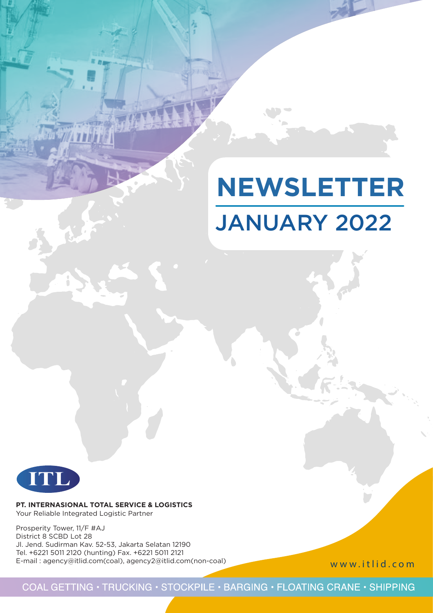# JANUARY 2022 **NEWSLETTER**



**PT. INTERNASIONAL TOTAL SERVICE & LOGISTICS** Your Reliable Integrated Logistic Partner

Prosperity Tower, 11/F #AJ District 8 SCBD Lot 28 Jl. Jend. Sudirman Kav. 52-53, Jakarta Selatan 12190 Tel. +6221 5011 2120 (hunting) Fax. +6221 5011 2121 E-mail : agency@itlid.com(coal), agency2@itlid.com(non-coal)

www.itlid.com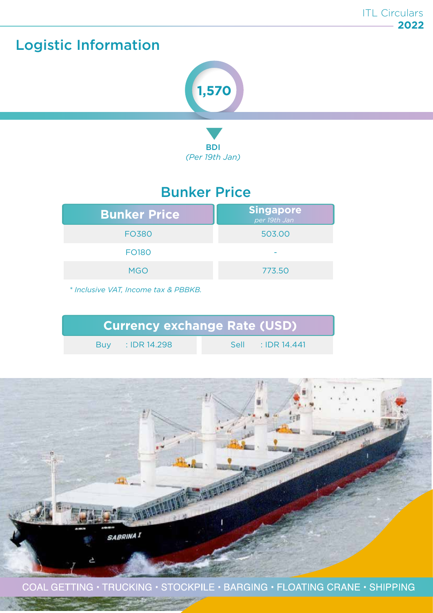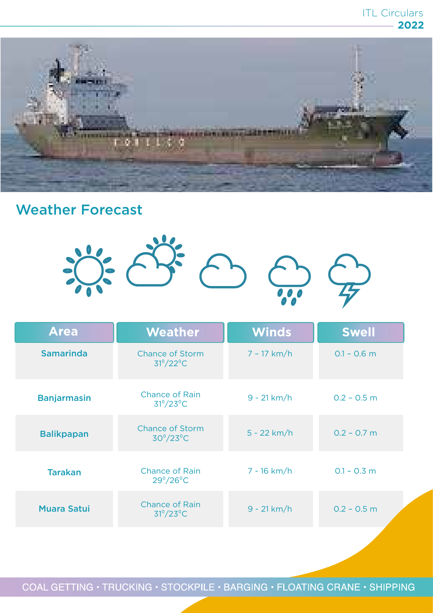

### Weather Forecast



| <b>Area</b>        | <b>Weather</b>                                      | <b>Winds</b>  | <b>Swell</b>  |
|--------------------|-----------------------------------------------------|---------------|---------------|
| <b>Samarinda</b>   | <b>Chance of Storm</b><br>$31^{\circ}/22^{\circ}$ C | $7 - 17 km/h$ | $0.1 - 0.6$ m |
| <b>Banjarmasin</b> | <b>Chance of Rain</b><br>$31^{\circ}/23^{\circ}$ C  | $9 - 21 km/h$ | $0.2 - 0.5$ m |
| <b>Balikpapan</b>  | <b>Chance of Storm</b><br>$30^{\circ}/23^{\circ}$ C | $5 - 22 km/h$ | $0.2 - 0.7$ m |
| <b>Tarakan</b>     | <b>Chance of Rain</b><br>$29^{\circ}/26^{\circ}$ C  | $7 - 16$ km/h | $0.1 - 0.3$ m |
| <b>Muara Satui</b> | <b>Chance of Rain</b><br>$31^{\circ}/23^{\circ}$ C  | $9 - 21 km/h$ | $0.2 - 0.5$ m |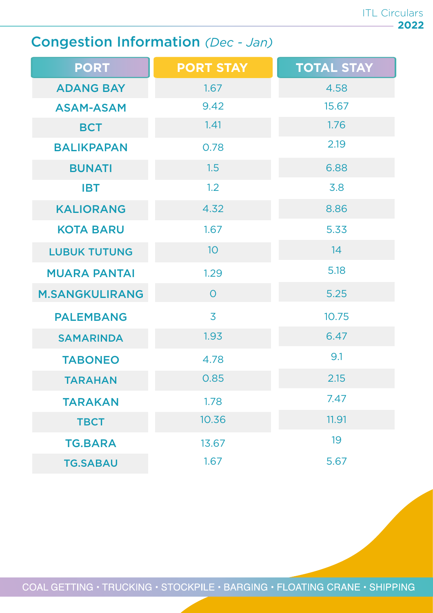### Congestion Information *(Dec - Jan)*

| <b>PORT</b>           | <b>PORT STAY</b> | <b>TOTAL STAY</b> |
|-----------------------|------------------|-------------------|
| <b>ADANG BAY</b>      | 1.67             | 4.58              |
| <b>ASAM-ASAM</b>      | 9.42             | 15.67             |
| <b>BCT</b>            | 1.41             | 1.76              |
| <b>BALIKPAPAN</b>     | 0.78             | 2.19              |
| <b>BUNATI</b>         | 1.5              | 6.88              |
| <b>IBT</b>            | 1.2              | 3.8               |
| <b>KALIORANG</b>      | 4.32             | 8.86              |
| <b>KOTA BARU</b>      | 1.67             | 5.33              |
| <b>LUBUK TUTUNG</b>   | 10               | 14                |
| <b>MUARA PANTAI</b>   | 1.29             | 5.18              |
| <b>M.SANGKULIRANG</b> | $\overline{O}$   | 5.25              |
| <b>PALEMBANG</b>      | 3                | 10.75             |
| <b>SAMARINDA</b>      | 1.93             | 6.47              |
| <b>TABONEO</b>        | 4.78             | 9.1               |
| <b>TARAHAN</b>        | 0.85             | 2.15              |
| <b>TARAKAN</b>        | 1.78             | 7.47              |
| <b>TBCT</b>           | 10.36            | 11.91             |
| <b>TG.BARA</b>        | 13.67            | 19                |
| <b>TG.SABAU</b>       | 1.67             | 5.67              |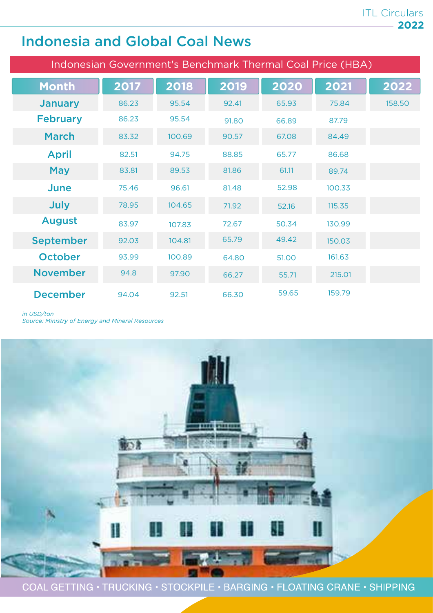### Indonesia and Global Coal News

| Indonesian Government's Benchmark Thermal Coal Price (HBA) |       |        |       |       |        |        |
|------------------------------------------------------------|-------|--------|-------|-------|--------|--------|
| <b>Month</b>                                               | 2017  | 2018   | 2019  | 2020  | 2021   | 2022   |
| <b>January</b>                                             | 86.23 | 95.54  | 92.41 | 65.93 | 75.84  | 158.50 |
| <b>February</b>                                            | 86.23 | 95.54  | 91.80 | 66.89 | 87.79  |        |
| <b>March</b>                                               | 83.32 | 100.69 | 90.57 | 67.08 | 84.49  |        |
| <b>April</b>                                               | 82.51 | 94.75  | 88.85 | 65.77 | 86.68  |        |
| <b>May</b>                                                 | 83.81 | 89.53  | 81.86 | 61.11 | 89.74  |        |
| <b>June</b>                                                | 75.46 | 96.61  | 81.48 | 52.98 | 100.33 |        |
| <b>July</b>                                                | 78.95 | 104.65 | 71.92 | 52.16 | 115.35 |        |
| <b>August</b>                                              | 83.97 | 107.83 | 72.67 | 50.34 | 130.99 |        |
| <b>September</b>                                           | 92.03 | 104.81 | 65.79 | 49.42 | 150.03 |        |
| <b>October</b>                                             | 93.99 | 100.89 | 64.80 | 51.00 | 161.63 |        |
| <b>November</b>                                            | 94.8  | 97.90  | 66.27 | 55.71 | 215.01 |        |
| <b>December</b>                                            | 94.04 | 92.51  | 66.30 | 59.65 | 159.79 |        |

#### *in USD/ton*

*Source: Ministry of Energy and Mineral Resources*



COAL GETTING · TRUCKING · STOCKPILE · BARGING · FLOATING CRANE · SHIPPING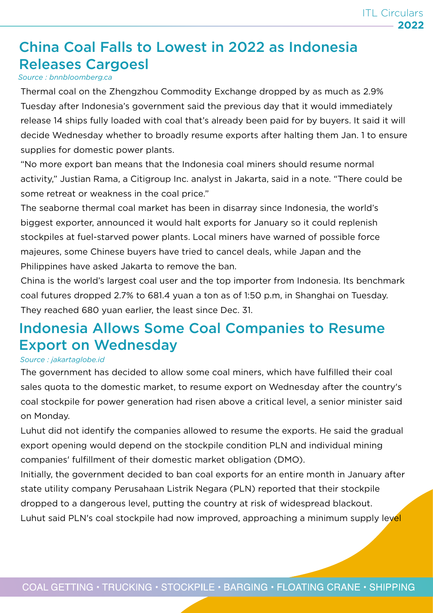### China Coal Falls to Lowest in 2022 as Indonesia Releases Cargoesl

#### *Source : bnnbloomberg.ca*

Thermal coal on the Zhengzhou Commodity Exchange dropped by as much as 2.9% Tuesday after Indonesia's government said the previous day that it would immediately release 14 ships fully loaded with coal that's already been paid for by buyers. It said it will decide Wednesday whether to broadly resume exports after halting them Jan. 1 to ensure supplies for domestic power plants.

"No more export ban means that the Indonesia coal miners should resume normal activity," Justian Rama, a Citigroup Inc. analyst in Jakarta, said in a note. "There could be some retreat or weakness in the coal price."

The seaborne thermal coal market has been in disarray since Indonesia, the world's biggest exporter, announced it would halt exports for January so it could replenish stockpiles at fuel-starved power plants. Local miners have warned of possible force majeures, some Chinese buyers have tried to cancel deals, while Japan and the Philippines have asked Jakarta to remove the ban.

China is the world's largest coal user and the top importer from Indonesia. Its benchmark coal futures dropped 2.7% to 681.4 yuan a ton as of 1:50 p.m, in Shanghai on Tuesday. They reached 680 yuan earlier, the least since Dec. 31.

### Indonesia Allows Some Coal Companies to Resume Export on Wednesday

#### *Source : jakartaglobe.id*

The government has decided to allow some coal miners, which have fulfilled their coal sales quota to the domestic market, to resume export on Wednesday after the country's coal stockpile for power generation had risen above a critical level, a senior minister said on Monday.

Luhut did not identify the companies allowed to resume the exports. He said the gradual export opening would depend on the stockpile condition PLN and individual mining companies' fulfillment of their domestic market obligation (DMO).

Initially, the government decided to ban coal exports for an entire month in January after state utility company Perusahaan Listrik Negara (PLN) reported that their stockpile dropped to a dangerous level, putting the country at risk of widespread blackout. Luhut said PLN's coal stockpile had now improved, approaching a minimum supply level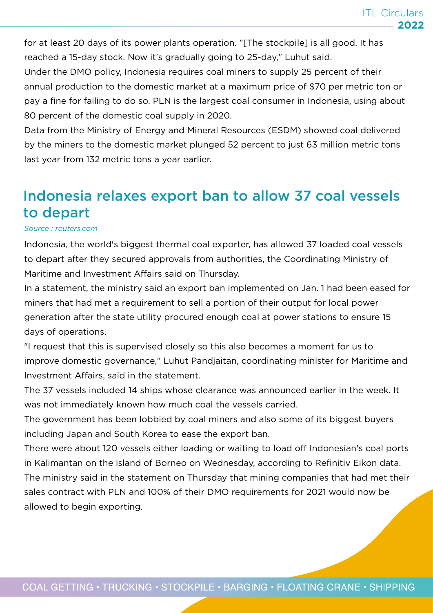for at least 20 days of its power plants operation. "[The stockpile] is all good. It has reached a 15-day stock. Now it's gradually going to 25-day," Luhut said.

Under the DMO policy, Indonesia requires coal miners to supply 25 percent of their annual production to the domestic market at a maximum price of \$70 per metric ton or pay a fine for failing to do so. PLN is the largest coal consumer in Indonesia, using about 80 percent of the domestic coal supply in 2020.

Data from the Ministry of Energy and Mineral Resources (ESDM) showed coal delivered by the miners to the domestic market plunged 52 percent to just 63 million metric tons last year from 132 metric tons a year earlier.

### Indonesia relaxes export ban to allow 37 coal vessels to depart

#### *Source : reuters.com*

Indonesia, the world's biggest thermal coal exporter, has allowed 37 loaded coal vessels to depart after they secured approvals from authorities, the Coordinating Ministry of Maritime and Investment Affairs said on Thursday.

In a statement, the ministry said an export ban implemented on Jan. 1 had been eased for miners that had met a requirement to sell a portion of their output for local power generation after the state utility procured enough coal at power stations to ensure 15 days of operations.

"I request that this is supervised closely so this also becomes a moment for us to improve domestic governance," Luhut Pandjaitan, coordinating minister for Maritime and Investment Affairs, said in the statement.

The 37 vessels included 14 ships whose clearance was announced earlier in the week. It was not immediately known how much coal the vessels carried.

The government has been lobbied by coal miners and also some of its biggest buyers including Japan and South Korea to ease the export ban.

There were about 120 vessels either loading or waiting to load off Indonesian's coal ports in Kalimantan on the island of Borneo on Wednesday, according to Refinitiv Eikon data. The ministry said in the statement on Thursday that mining companies that had met their sales contract with PLN and 100% of their DMO requirements for 2021 would now be allowed to begin exporting.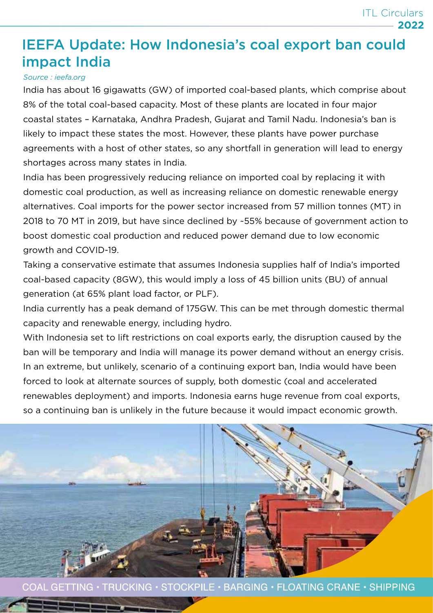#### IEEFA Update: How Indonesia's coal export ban could impact India

#### *Source : ieefa.org*

India has about 16 gigawatts (GW) of imported coal-based plants, which comprise about 8% of the total coal-based capacity. Most of these plants are located in four major coastal states – Karnataka, Andhra Pradesh, Gujarat and Tamil Nadu. Indonesia's ban is likely to impact these states the most. However, these plants have power purchase agreements with a host of other states, so any shortfall in generation will lead to energy shortages across many states in India.

India has been progressively reducing reliance on imported coal by replacing it with domestic coal production, as well as increasing reliance on domestic renewable energy alternatives. Coal imports for the power sector increased from 57 million tonnes (MT) in 2018 to 70 MT in 2019, but have since declined by ~55% because of government action to boost domestic coal production and reduced power demand due to low economic growth and COVID-19.

Taking a conservative estimate that assumes Indonesia supplies half of India's imported coal-based capacity (8GW), this would imply a loss of 45 billion units (BU) of annual generation (at 65% plant load factor, or PLF).

India currently has a peak demand of 175GW. This can be met through domestic thermal capacity and renewable energy, including hydro.

With Indonesia set to lift restrictions on coal exports early, the disruption caused by the ban will be temporary and India will manage its power demand without an energy crisis. In an extreme, but unlikely, scenario of a continuing export ban, India would have been forced to look at alternate sources of supply, both domestic (coal and accelerated renewables deployment) and imports. Indonesia earns huge revenue from coal exports, so a continuing ban is unlikely in the future because it would impact economic growth.

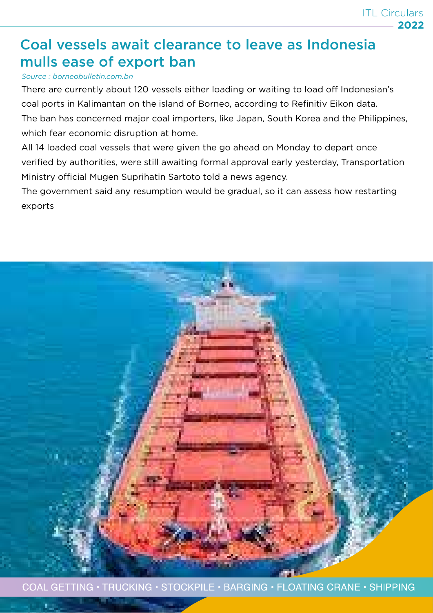#### Coal vessels await clearance to leave as Indonesia mulls ease of export ban

#### *Source : borneobulletin.com.bn*

There are currently about 120 vessels either loading or waiting to load off Indonesian's coal ports in Kalimantan on the island of Borneo, according to Refinitiv Eikon data. The ban has concerned major coal importers, like Japan, South Korea and the Philippines, which fear economic disruption at home.

All 14 loaded coal vessels that were given the go ahead on Monday to depart once verified by authorities, were still awaiting formal approval early yesterday, Transportation Ministry official Mugen Suprihatin Sartoto told a news agency.

The government said any resumption would be gradual, so it can assess how restarting exports

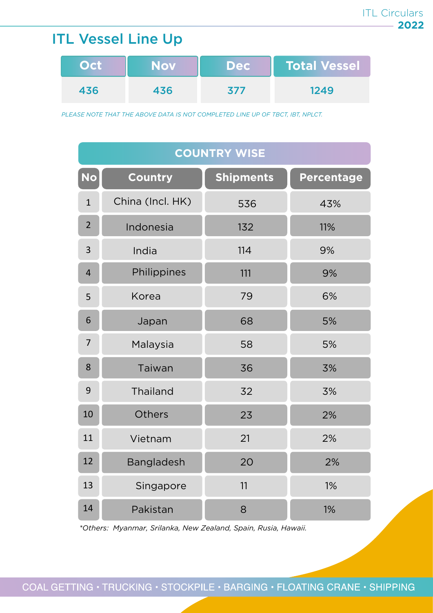### ITL Vessel Line Up

| Oct | <b>Nov</b> | Dec | <b>Total Vessel</b> |
|-----|------------|-----|---------------------|
| 436 | 436        | 377 | 1249                |

*PLEASE NOTE THAT THE ABOVE DATA IS NOT COMPLETED LINE UP OF TBCT, IBT, NPLCT.*

| <b>COUNTRY WISE</b> |                  |                  |                   |  |
|---------------------|------------------|------------------|-------------------|--|
| <b>No</b>           | <b>Country</b>   | <b>Shipments</b> | <b>Percentage</b> |  |
| $\overline{1}$      | China (Incl. HK) | 536              | 43%               |  |
| $\overline{2}$      | Indonesia        | 132              | 11%               |  |
| 3                   | India            | 114              | 9%                |  |
| $\overline{4}$      | Philippines      | 111              | 9%                |  |
| 5                   | Korea            | 79               | 6%                |  |
| 6                   | Japan            | 68               | 5%                |  |
| $\overline{7}$      | Malaysia         | 58               | 5%                |  |
| 8                   | Taiwan           | 36               | 3%                |  |
| 9                   | <b>Thailand</b>  | 32               | 3%                |  |
| 10                  | <b>Others</b>    | 23               | 2%                |  |
| 11                  | Vietnam          | 21               | 2%                |  |
| 12                  | Bangladesh       | 20               | 2%                |  |
| 13                  | Singapore        | 11               | 1%                |  |
| 14                  | Pakistan         | 8                | 1%                |  |

*\*Others: Myanmar, Srilanka, New Zealand, Spain, Rusia, Hawaii.*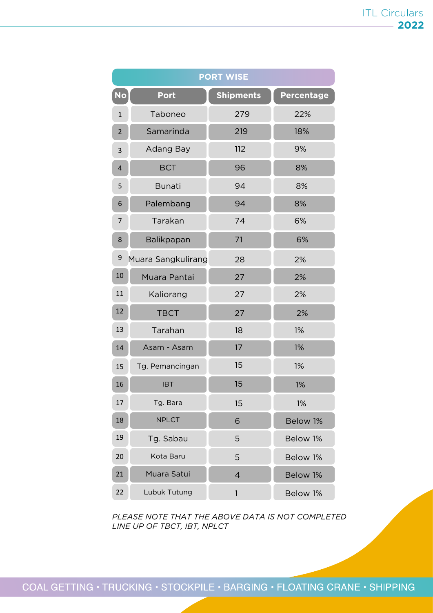| <b>PORT WISE</b>        |                    |                  |                   |
|-------------------------|--------------------|------------------|-------------------|
| No                      | <b>Port</b>        | <b>Shipments</b> | <b>Percentage</b> |
| $\mathbf 1$             | Taboneo            | 279              | 22%               |
| $\overline{2}$          | Samarinda          | 219              | 18%               |
| 3                       | Adang Bay          | 112              | 9%                |
| $\overline{\mathbf{4}}$ | <b>BCT</b>         | 96               | 8%                |
| 5                       | <b>Bunati</b>      | 94               | 8%                |
| 6                       | Palembang          | 94               | 8%                |
| 7                       | Tarakan            | 74               | 6%                |
| 8                       | Balikpapan         | 71               | 6%                |
| 9                       | Muara Sangkulirang | 28               | 2%                |
| 10                      | Muara Pantai       | 27               | 2%                |
| 11                      | Kaliorang          | 27               | 2%                |
| 12                      | <b>TBCT</b>        | 27               | 2%                |
| 13                      | Tarahan            | 18               | 1%                |
| 14                      | Asam - Asam        | 17               | 1%                |
| 15                      | Tg. Pemancingan    | 15               | 1%                |
| 16                      | <b>IBT</b>         | 15               | 1%                |
| 17                      | Tg. Bara           | 15               | 1%                |
| 18                      | <b>NPLCT</b>       | 6                | Below 1%          |
| 19                      | Tg. Sabau          | 5                | Below 1%          |
| 20                      | Kota Baru          | 5                | Below 1%          |
| 21                      | Muara Satui        | $\overline{4}$   | Below 1%          |
| 22                      | Lubuk Tutung       | 1                | Below 1%          |

*PLEASE NOTE THAT THE ABOVE DATA IS NOT COMPLETED LINE UP OF TBCT, IBT, NPLCT*